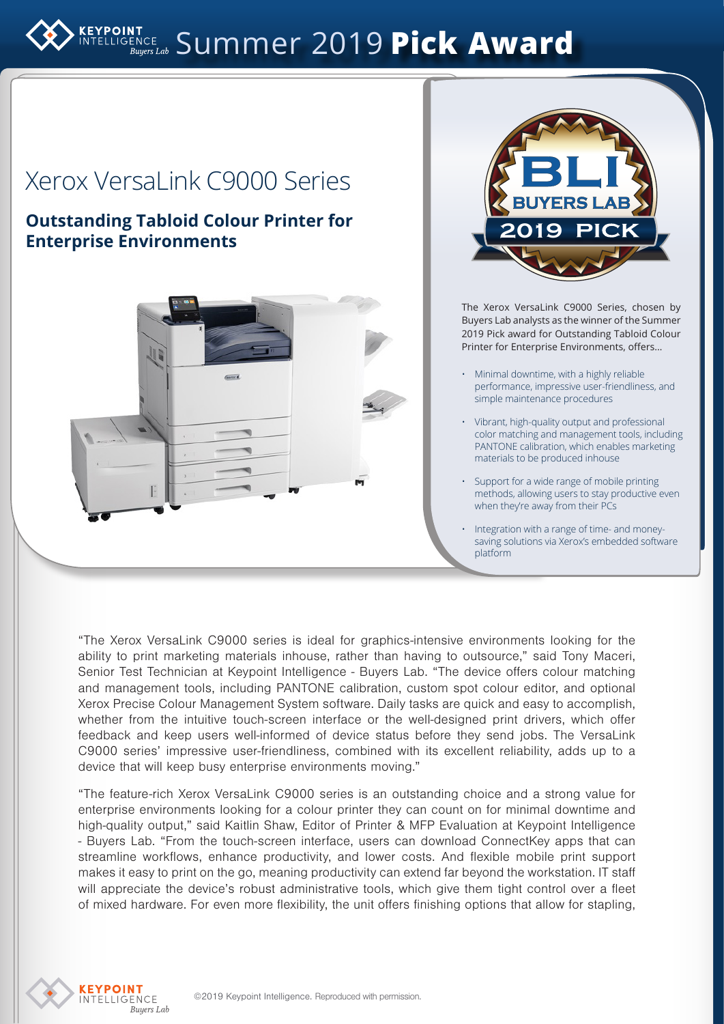# ELLIGENCE Summer 2019 **Pick Award**

## Xerox VersaLink C9000 Series

### **Outstanding Tabloid Colour Printer for Enterprise Environments**





The Xerox VersaLink C9000 Series, chosen by Buyers Lab analysts as the winner of the Summer 2019 Pick award for Outstanding Tabloid Colour Printer for Enterprise Environments, offers…

- Minimal downtime, with a highly reliable performance, impressive user-friendliness, and simple maintenance procedures
- Vibrant, high-quality output and professional color matching and management tools, including PANTONE calibration, which enables marketing materials to be produced inhouse
- Support for a wide range of mobile printing methods, allowing users to stay productive even when they're away from their PCs
- Integration with a range of time- and moneysaving solutions via Xerox's embedded software platform

"The Xerox VersaLink C9000 series is ideal for graphics-intensive environments looking for the ability to print marketing materials inhouse, rather than having to outsource," said Tony Maceri, Senior Test Technician at Keypoint Intelligence - Buyers Lab. "The device offers colour matching and management tools, including PANTONE calibration, custom spot colour editor, and optional Xerox Precise Colour Management System software. Daily tasks are quick and easy to accomplish, whether from the intuitive touch-screen interface or the well-designed print drivers, which offer feedback and keep users well-informed of device status before they send jobs. The VersaLink C9000 series' impressive user-friendliness, combined with its excellent reliability, adds up to a device that will keep busy enterprise environments moving."

"The feature-rich Xerox VersaLink C9000 series is an outstanding choice and a strong value for enterprise environments looking for a colour printer they can count on for minimal downtime and high-quality output," said Kaitlin Shaw, Editor of Printer & MFP Evaluation at Keypoint Intelligence - Buyers Lab. "From the touch-screen interface, users can download ConnectKey apps that can streamline workflows, enhance productivity, and lower costs. And flexible mobile print support makes it easy to print on the go, meaning productivity can extend far beyond the workstation. IT staff will appreciate the device's robust administrative tools, which give them tight control over a fleet of mixed hardware. For even more flexibility, the unit offers finishing options that allow for stapling,